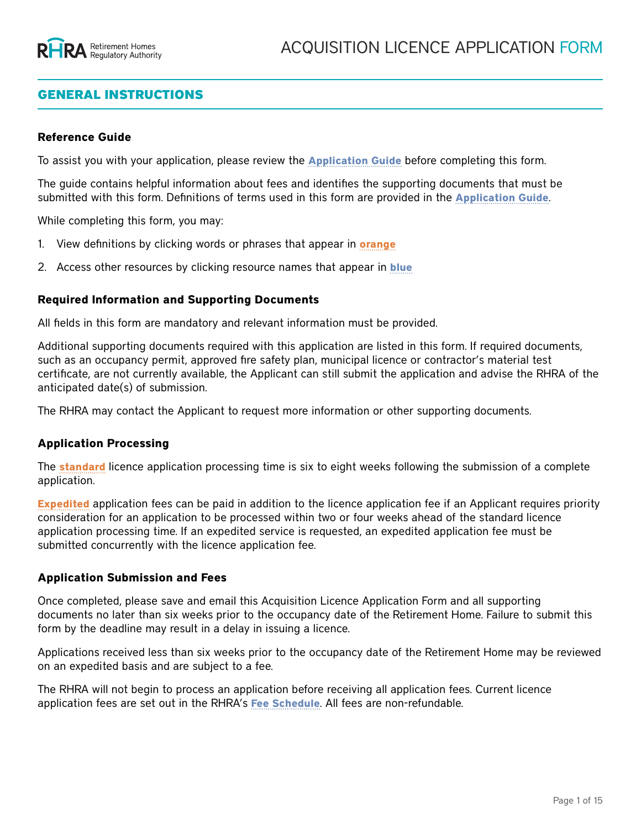# GENERAL INSTRUCTIONS

#### **Reference Guide**

To assist you with your application, please review the **[Application Guide](https://www.rhra.ca/en/applying-for-a-licence/how-to-apply-for-a-licence/)** before completing this form.

The guide contains helpful information about fees and identifies the supporting documents that must be submitted with this form. Definitions of terms used in this form are provided in the **[Application Guide](https://www.rhra.ca/en/applying-for-a-licence/how-to-apply-for-a-licence/)**.

While completing this form, you may:

- 1. View definitions by clicking words or phrases that appear in **orange**
- 2. Access other resources by clicking resource names that appear in **blue**

#### **Required Information and Supporting Documents**

All fields in this form are mandatory and relevant information must be provided.

Additional supporting documents required with this application are listed in this form. If required documents, such as an occupancy permit, approved fire safety plan, municipal licence or contractor's material test certificate, are not currently available, the Applicant can still submit the application and advise the RHRA of the anticipated date(s) of submission.

The RHRA may contact the Applicant to request more information or other supporting documents.

#### **Application Processing**

The **standard** licence application processing time is six to eight weeks following the submission of a complete application.

**Expedited** application fees can be paid in addition to the licence application fee if an Applicant requires priority consideration for an application to be processed within two or four weeks ahead of the standard licence application processing time. If an expedited service is requested, an expedited application fee must be submitted concurrently with the licence application fee.

#### **Application Submission and Fees**

Once completed, please save and email this Acquisition Licence Application Form and all supporting documents no later than six weeks prior to the occupancy date of the Retirement Home. Failure to submit this form by the deadline may result in a delay in issuing a licence.

Applications received less than six weeks prior to the occupancy date of the Retirement Home may be reviewed on an expedited basis and are subject to a fee.

The RHRA will not begin to process an application before receiving all application fees. Current licence application fees are set out in the RHRA's **[Fee Schedule](https://www.rhra.ca/en/information-tools-and-resources/)**. All fees are non-refundable.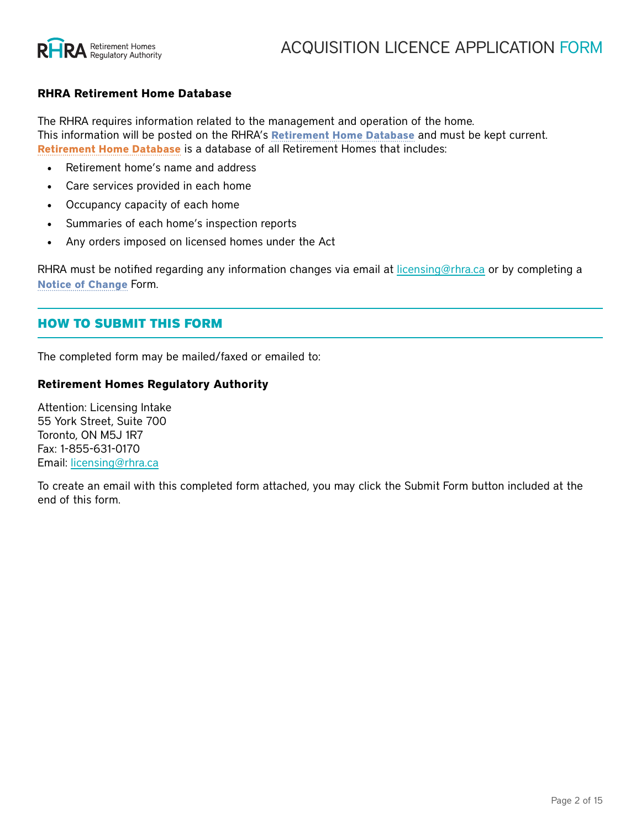

#### **RHRA Retirement Home Database**

The RHRA requires information related to the management and operation of the home. This information will be posted on the RHRA's **[Retirement Home Database](https://www.rhra.ca/en/retirement-home-database/)** and must be kept current. **Retirement Home Database** is a database of all Retirement Homes that includes:

- Retirement home's name and address
- Care services provided in each home
- Occupancy capacity of each home
- Summaries of each home's inspection reports
- Any orders imposed on licensed homes under the Act

RHRA must be notified regarding any information changes via email at [licensing@rhra.ca](mailto:licensing%40rhra.ca?subject=New%20Operation%20LIcence%20Application%20Form) or by completing a **[Notice of Change](https://www.rhra.ca/en/information-tools-and-resources/)** Form.

# HOW TO SUBMIT THIS FORM

The completed form may be mailed/faxed or emailed to:

#### **Retirement Homes Regulatory Authority**

Attention: Licensing Intake 55 York Street, Suite 700 Toronto, ON M5J 1R7 Fax: 1-855-631-0170 Email: [licensing@rhra.ca](mailto:licensing%40rhra.ca?subject=)

To create an email with this completed form attached, you may click the Submit Form button included at the end of this form.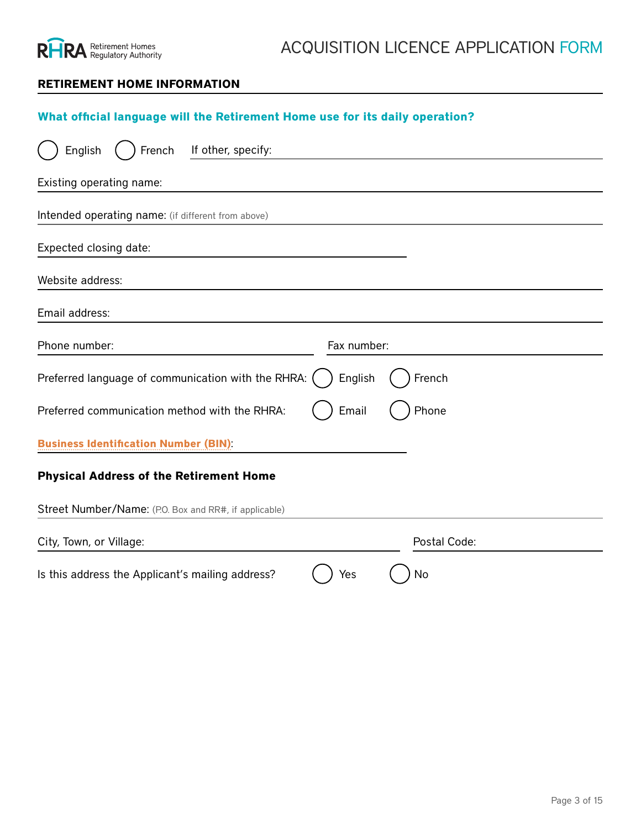

### **RETIREMENT HOME INFORMATION**

# **What official language will the Retirement Home use for its daily operation?**

| If other, specify:<br>English<br>French               |              |              |
|-------------------------------------------------------|--------------|--------------|
| Existing operating name:                              |              |              |
| Intended operating name: (if different from above)    |              |              |
| Expected closing date:                                |              |              |
| Website address:                                      |              |              |
| Email address:                                        |              |              |
| Phone number:                                         | Fax number:  |              |
| Preferred language of communication with the RHRA:    | English      | French       |
| Preferred communication method with the RHRA:         | Email        | Phone        |
| <b>Business Identification Number (BIN):</b>          |              |              |
| <b>Physical Address of the Retirement Home</b>        |              |              |
| Street Number/Name: (P.O. Box and RR#, if applicable) |              |              |
| City, Town, or Village:                               |              | Postal Code: |
| Is this address the Applicant's mailing address?      | Yes          | No           |
| <b>Mailing Address of the Applicant</b>               |              |              |
| Street Number/Name: (P.O. Box and RR#, if applicable) |              |              |
| City, Town, or Village:                               |              |              |
| Province:                                             | Postal Code: |              |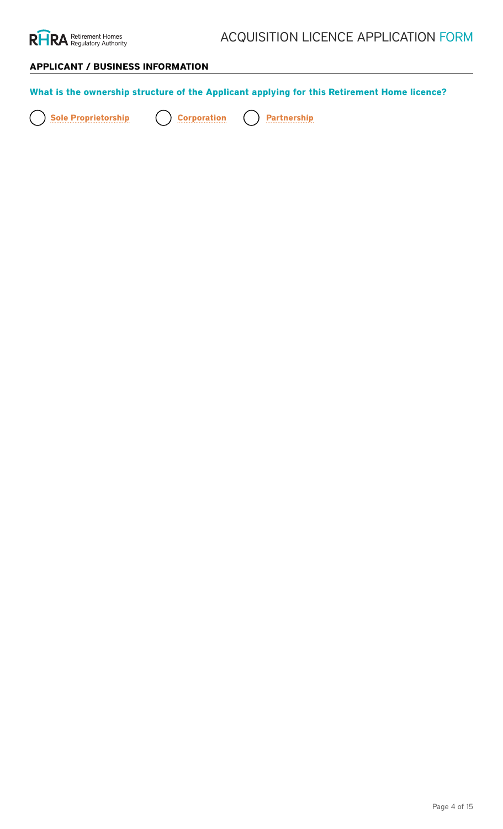

# **APPLICANT / BUSINESS INFORMATION**

| What is the ownership structure of the Applicant applying for this Retirement Home licence?                    |                                                                                                                                                                                        |  |  |
|----------------------------------------------------------------------------------------------------------------|----------------------------------------------------------------------------------------------------------------------------------------------------------------------------------------|--|--|
| <b>Sole Proprietorship</b><br><b>Corporation</b><br><b>Partnership</b>                                         |                                                                                                                                                                                        |  |  |
| <b>Details of the Partnership</b><br>Ruthle Gal Comperatibusing the Owneres of Incorporation or Letters Patent |                                                                                                                                                                                        |  |  |
| Partnership Name:                                                                                              |                                                                                                                                                                                        |  |  |
| Close Mamon Number:                                                                                            | Date of Middle Jnatialn:                                                                                                                                                               |  |  |
| <b>Full legal name(s) of all Partners</b><br>CapstratamgeName of Corporation:                                  | <b>Preferred Salutation:</b>                                                                                                                                                           |  |  |
| <b>First Name:</b><br>Bursistreta Mattern of Opto Alton i et or ship a tarafy:                                 | Middle Initial:                                                                                                                                                                        |  |  |
| Last Name:                                                                                                     | <b>Preferred Salutation:</b>                                                                                                                                                           |  |  |
| <b>Federal</b><br>Corporate Name: (if applicable)<br><b>Other Province/Territory</b>                           | NOTE: For any corporation incorporated outside of Canada,<br>submit proof of authorization under the Extra-Provincial<br>Please, specify of Ontario is required<br>Ontario is required |  |  |
| Outside Canada Please specify:<br><b>If second Partner</b>                                                     |                                                                                                                                                                                        |  |  |
| Full legalename(s) of all Officers and Directors of the Corporatio                                             | Middle Initial:                                                                                                                                                                        |  |  |
| East Name:                                                                                                     | Phielfelereral Scaltutation:                                                                                                                                                           |  |  |
| CaspblatteeName: (if applicable)                                                                               | <b>Preferred Salutation:</b>                                                                                                                                                           |  |  |
| If shirdrich Olifrager or Director                                                                             |                                                                                                                                                                                        |  |  |
| <b>First Name:</b>                                                                                             | Middle Initial:                                                                                                                                                                        |  |  |
| Last Name:                                                                                                     | <b>Preferred Salutation:</b>                                                                                                                                                           |  |  |
| Eulblegial mame(s) objail person(s) who have a controlling interest in the Corporation.                        |                                                                                                                                                                                        |  |  |
| NatmissadLinliteersantaersitipa controllings interest will toppear on the RHRA Retirement Home Database        |                                                                                                                                                                                        |  |  |
| <b>FUIT lega</b> Phame(s) of all person(s) who have a controlling interest Mithle Pattehership.                |                                                                                                                                                                                        |  |  |
| An Depart of Person(s) with a controlling interest will appear on the RHRA Retiter and plate intabase          |                                                                                                                                                                                        |  |  |
| <b>H<sub>I</sub>SEName person</b>                                                                              | Middle Initial:                                                                                                                                                                        |  |  |
| East Name:                                                                                                     | Midreler draits direction:                                                                                                                                                             |  |  |
| CospolanceName: (if applicable)                                                                                | <b>Preferred Salutation:</b>                                                                                                                                                           |  |  |
| If second person                                                                                               |                                                                                                                                                                                        |  |  |
| First Name:                                                                                                    | Middle Initial:                                                                                                                                                                        |  |  |
| Last Name:                                                                                                     | <b>Preferred Salutation:</b>                                                                                                                                                           |  |  |
| Corporate Name: (if applicable)                                                                                |                                                                                                                                                                                        |  |  |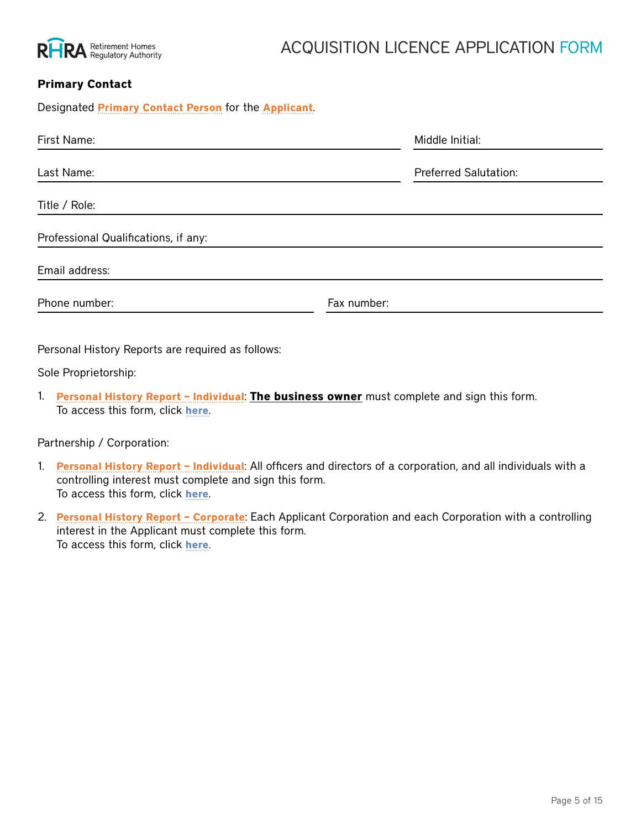

# ACQUISITION LICENCE APPLICATION FORM

# **Primary Contact**

Designated **Primary Contact Person** for the **Applicant**. First Name: No. 2008. The South State of the Middle Initial: Name: Middle Initial: Name: Name: Name: Name: Name: Name: Name: Name: Name: Name: Name: Name: Name: Name: Name: Name: Name: Name: Name: Name: Name: Name: Name: N Last Name: Preferred Salutation: Title / Role: Professional Qualifications, if any: Email address: Phone number: Fax number:

Personal History Reports are required as follows:

Sole Proprietorship:

1. **Personal History Report – Individual**: **The business owner** must complete and sign this form. To access this form, click **[here](https://www.rhra.ca/en/applying-for-a-licence/how-to-apply-for-a-licence/)**.

Partnership / Corporation:

- 1. **Personal History Report Individual**: All officers and directors of a corporation, and all individuals with a controlling interest must complete and sign this form. To access this form, click **[here](https://www.rhra.ca/en/applying-for-a-licence/how-to-apply-for-a-licence/)**.
- 2. **Personal History Report Corporate**: Each Applicant Corporation and each Corporation with a controlling interest in the Applicant must complete this form. To access this form, click **[here](https://www.rhra.ca/en/applying-for-a-licence/how-to-apply-for-a-licence/)**.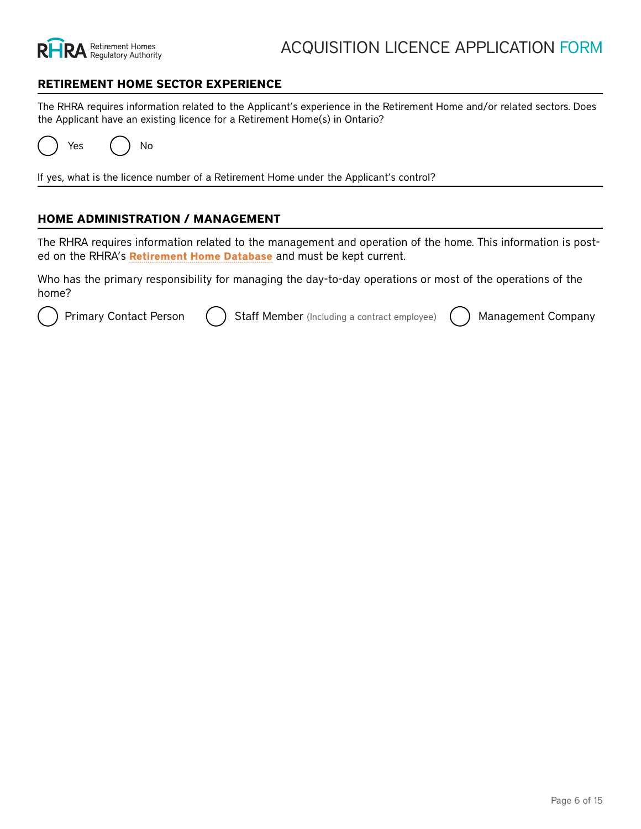

#### **RETIREMENT HOME SECTOR EXPERIENCE**

The RHRA requires information related to the Applicant's experience in the Retirement Home and/or related sectors. Does the Applicant have an existing licence for a Retirement Home(s) in Ontario?

Yes ( ) No

If yes, what is the licence number of a Retirement Home under the Applicant's control?

#### **HOME ADMINISTRATION / MANAGEMENT**

The RHRA requires information related to the management and operation of the home. This information is posted on the RHRA's **Retirement Home Database** and must be kept current.

Who has the primary responsibility for managing the day-to-day operations or most of the operations of the home?

Primary Contact Person ( ) Staff Member (Including a contract employee) ( ) Management Company

#### *Stanfely te Count Out to pravay i britor mation*

**Earsigneasted i <u>Priemaber Cwho aistrespons</u>ible foe managing** the operations or most of the operations of the home: Management Company's Legal Business Name:

First Name: Middle Initial: Middle Initial: First Name:<br><del>Operating Name: (if different than above)</del>

Last Name: Last Name: All and Discussion Contract Preferred Salutation: Last Name: Preferred Salutation: Does the Management Company manage an existing licensed Retirement Home?

Title / Role: Title / Role: Yes No

#### **Matesgie met Qualitimations, Cioantact**

Email address of the operations of the home) Contact Information (for the person at the Management Company, who is responsible for managing the opera-

| Phone awaiber:                                                                                                                                                              | <b>FA</b> &dlumbagi:         |  |  |  |
|-----------------------------------------------------------------------------------------------------------------------------------------------------------------------------|------------------------------|--|--|--|
| Last Name:<br>Personal History Reports are required as follows:                                                                                                             | <b>Preferred Salutation:</b> |  |  |  |
| Title Boleal History Report - Individual: All officers and directors of a corporation, and all individuals with a<br>controlling interest must complete and sign this form. |                              |  |  |  |
| Professional Other fleethonlick large<br>2. Personal History Report - Corporate: Each Applicant Corporation and each Corporation with a controlling                         |                              |  |  |  |
| Emailtadest is: the Applicant must complete this form.<br>To access this form, click here.                                                                                  |                              |  |  |  |

Phone number: Fax number: Fax number: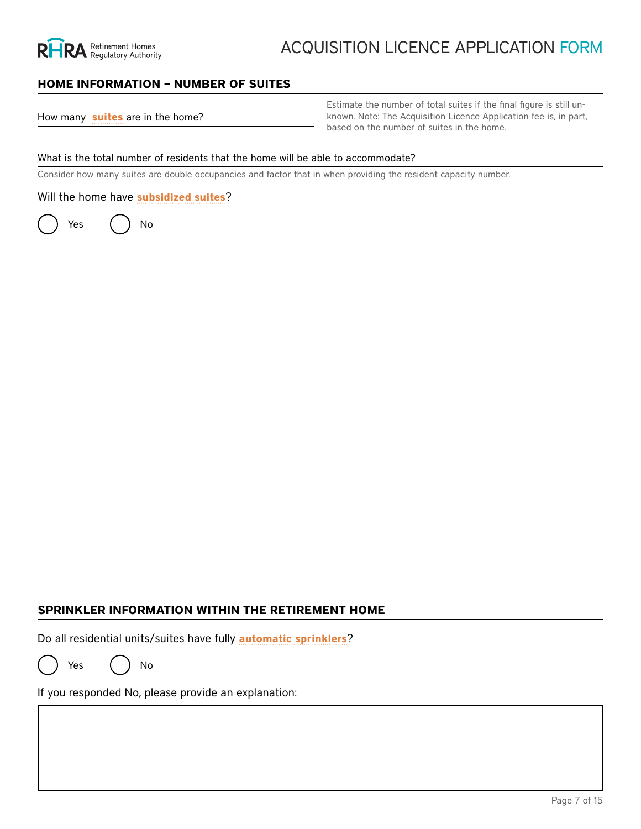

# ACQUISITION LICENCE APPLICATION FORM

## **HOME INFORMATION – NUMBER OF SUITES**

| How many suites are in the home? |  |  |  |  |  |  |
|----------------------------------|--|--|--|--|--|--|
|----------------------------------|--|--|--|--|--|--|

Estimate the number of total suites if the final figure is still unknown. Note: The Acquisition Licence Application fee is, in part, based on the number of suites in the home.

#### What is the total number of residents that the home will be able to accommodate?

Consider how many suites are double occupancies and factor that in when providing the resident capacity number.

Will the home have **subsidized suites**?

Yes ( ) No

Number of subsidized suites:

the Acquisition Licence Application fee.

Select the Act the home will be governed by or funded under:

Note: Subsidized suites:<br>
The Act the home will be governed by or funded under:<br>
The Developmental Services Act<br>
The Developmental Services Act<br>
The Homes for Special Care Act<br>
The Long-Term Care Homes Act, 2007<br>
The Minis The Developmental Services Act The Homes for Special Care Act The Long-Term Care Homes Act, 2007 CCC The Ministry of Community and Social Services Act The Private Hospitals Act The Public Hospitals Act The Services and Supports to Promote the Social Inclusion of Persons with Developmental Disabilities Act, 2008 The Ontario Works Act The Home Care and Community Services Act, 1994 The Local Health System Integration Act, 2006

# **SPRINKLER INFORMATION WITHIN THE RETIREMENT HOME**

Do all residential units/suites have fully **automatic sprinklers**?

Yes ( ) No

If you responded No, please provide an explanation: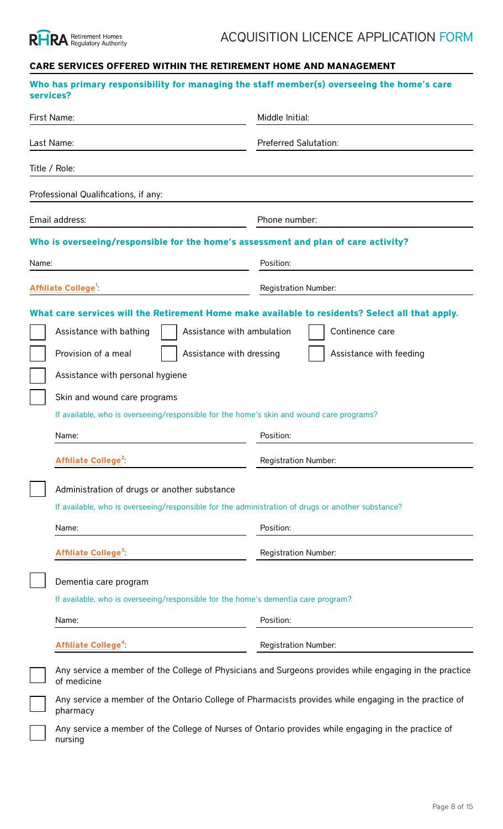

# **CARE SERVICES OFFERED WITHIN THE RETIREMENT HOME AND MANAGEMENT**

| services?  | Who has primary responsibility for managing the staff member(s) overseeing the home's care                                                                                                                                                                                                                                                                                                                                                                                        |                                                                                                                                                                                                        |  |  |  |
|------------|-----------------------------------------------------------------------------------------------------------------------------------------------------------------------------------------------------------------------------------------------------------------------------------------------------------------------------------------------------------------------------------------------------------------------------------------------------------------------------------|--------------------------------------------------------------------------------------------------------------------------------------------------------------------------------------------------------|--|--|--|
|            | First Name:                                                                                                                                                                                                                                                                                                                                                                                                                                                                       | Middle Initial:                                                                                                                                                                                        |  |  |  |
| Last Name: |                                                                                                                                                                                                                                                                                                                                                                                                                                                                                   | <b>Preferred Salutation:</b>                                                                                                                                                                           |  |  |  |
|            | Title / Role:                                                                                                                                                                                                                                                                                                                                                                                                                                                                     |                                                                                                                                                                                                        |  |  |  |
|            | Professional Qualifications, if any:                                                                                                                                                                                                                                                                                                                                                                                                                                              |                                                                                                                                                                                                        |  |  |  |
|            | Email address:                                                                                                                                                                                                                                                                                                                                                                                                                                                                    | Phone number:                                                                                                                                                                                          |  |  |  |
|            | Who is overseeing/responsible for the home's assessment and plan of care activity?                                                                                                                                                                                                                                                                                                                                                                                                |                                                                                                                                                                                                        |  |  |  |
| Name:      |                                                                                                                                                                                                                                                                                                                                                                                                                                                                                   | Position:                                                                                                                                                                                              |  |  |  |
|            | Affiliate College <sup>1</sup>                                                                                                                                                                                                                                                                                                                                                                                                                                                    | Registration Number:                                                                                                                                                                                   |  |  |  |
|            | Assistance with ambulation<br>Assistance with bathing<br>Provision of a meal<br>Assistance with dressing<br>Assistance with personal hygiene<br>Skin and wound care programs<br>If available, who is overseeing/responsible for the home's skin and wound care programs?<br>Name:<br>Affiliate College <sup>2</sup><br>Administration of drugs or another substance<br>If available, who is overseeing/responsible for the administration of drugs or another substance?<br>Name: | What care services will the Retirement Home make available to residents? Select all that apply.<br>Continence care<br>Assistance with feeding<br>Position:<br><b>Registration Number:</b><br>Position: |  |  |  |
|            | Affiliate College <sup>3</sup>                                                                                                                                                                                                                                                                                                                                                                                                                                                    | <b>Registration Number:</b>                                                                                                                                                                            |  |  |  |
|            | Dementia care program<br>If available, who is overseeing/responsible for the home's dementia care program?<br>Name:                                                                                                                                                                                                                                                                                                                                                               | Position:                                                                                                                                                                                              |  |  |  |
|            | Affiliate College <sup>4</sup> :                                                                                                                                                                                                                                                                                                                                                                                                                                                  | <b>Registration Number:</b>                                                                                                                                                                            |  |  |  |
|            | of medicine                                                                                                                                                                                                                                                                                                                                                                                                                                                                       | Any service a member of the College of Physicians and Surgeons provides while engaging in the practice                                                                                                 |  |  |  |
|            | pharmacy                                                                                                                                                                                                                                                                                                                                                                                                                                                                          | Any service a member of the Ontario College of Pharmacists provides while engaging in the practice of                                                                                                  |  |  |  |
|            | nursing                                                                                                                                                                                                                                                                                                                                                                                                                                                                           | Any service a member of the College of Nurses of Ontario provides while engaging in the practice of                                                                                                    |  |  |  |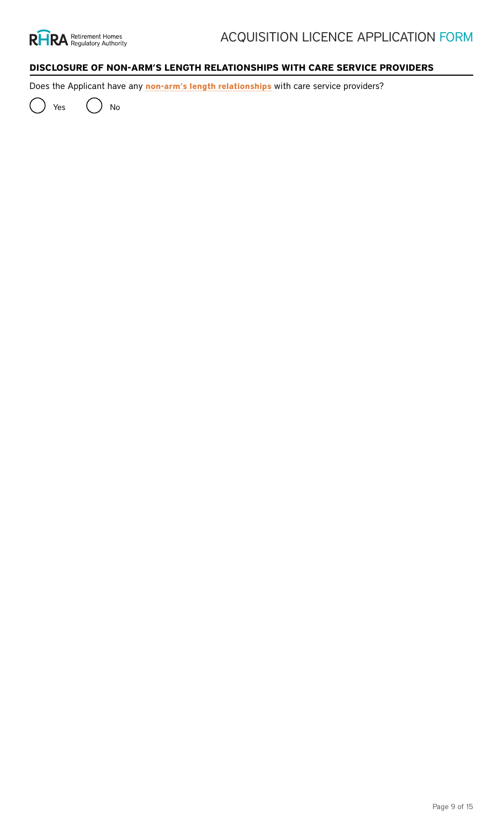

# **DISCLOSURE OF NON-ARM'S LENGTH RELATIONSHIPS WITH CARE SERVICE PROVIDERS**

Does the Applicant have any **non-arm's length relationships** with care service providers?

Yes ( ) No

# **What non-arm's length relationships apply or will apply to the Applicant? Provide information for all that apply**

Spousal or family relationships (spouse, parent, sibling, child or another relative sharing the residence of the Applicant)

Name of Spousal or Family care service provider:

Care services provided / intended to be provided:

Relationship to Applicant:

If second care service provider

Name of care service provider:

Care services provided / intended to be provided:

Relationship to Applicant:

Corporate relationships (the person is a partner, director or officer of the Applicant)

Name of Corporate Relationship care service provider:

Care services provided / intended to be provided:

Relationship to Applicant:

If second care service provider

Name of care service provider:

Care services provided / intended to be provided:

Relationship to Applicant:

Relationships of corporate control (the person is a parent/controlling/controlled corporation of the Applicant)

Name of Relationship of Corporate Control care service provider:

Care services provided / intended to be provided:

Relationship to Applicant:

If second care service provider

Name of care service provider:

Care services provided / intended to be provided:

Relationship to Applicant: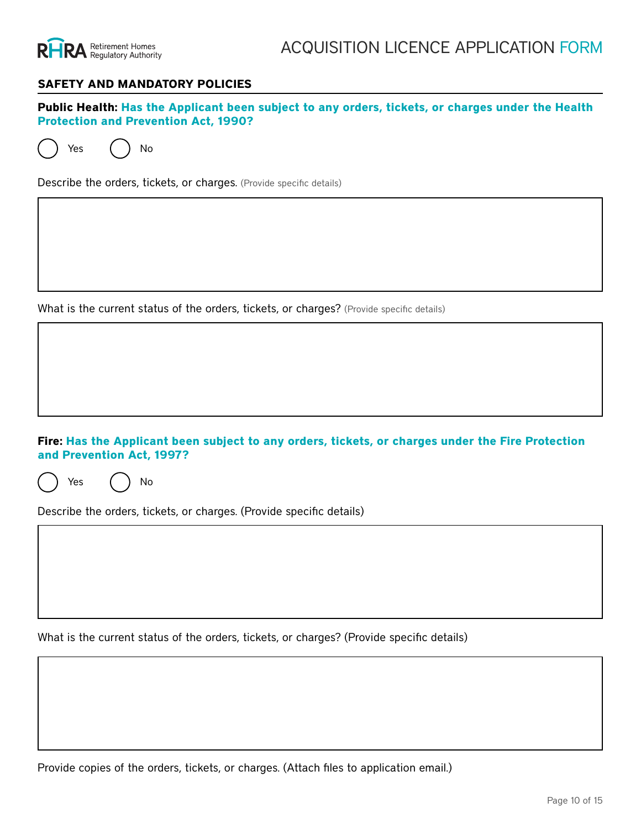

#### **SAFETY AND MANDATORY POLICIES**

**Public Health: Has the Applicant been subject to any orders, tickets, or charges under the Health Protection and Prevention Act, 1990?**

Yes ( ) No

Describe the orders, tickets, or charges. (Provide specific details)

What is the current status of the orders, tickets, or charges? (Provide specific details)

#### **Fire: Has the Applicant been subject to any orders, tickets, or charges under the Fire Protection and Prevention Act, 1997?**

Yes ( ) No

Describe the orders, tickets, or charges. (Provide specific details)

What is the current status of the orders, tickets, or charges? (Provide specific details)

Provide copies of the orders, tickets, or charges. (Attach files to application email.)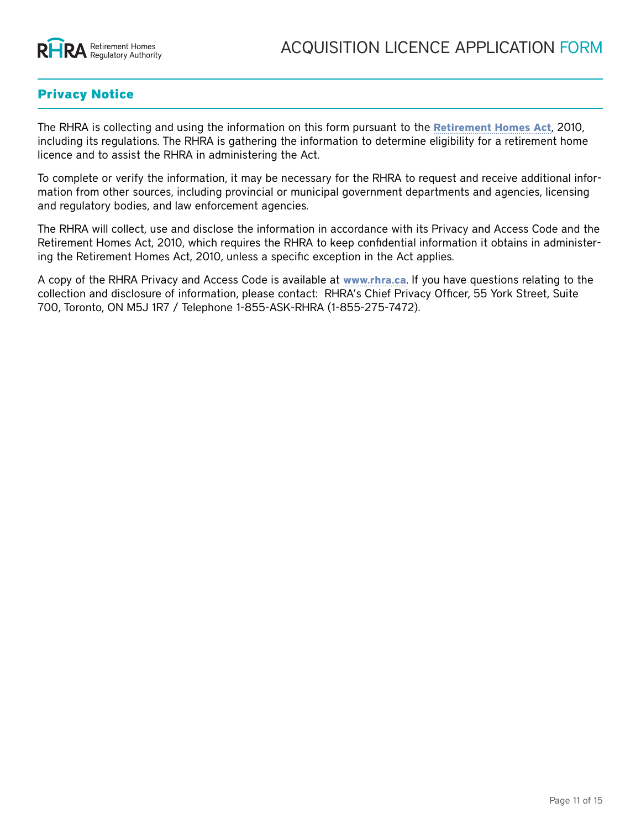

# Privacy Notice

The RHRA is collecting and using the information on this form pursuant to the **[Retirement Homes Act](https://www.ontario.ca/laws/statute/10r11)**, 2010, including its regulations. The RHRA is gathering the information to determine eligibility for a retirement home licence and to assist the RHRA in administering the Act.

To complete or verify the information, it may be necessary for the RHRA to request and receive additional information from other sources, including provincial or municipal government departments and agencies, licensing and regulatory bodies, and law enforcement agencies.

The RHRA will collect, use and disclose the information in accordance with its Privacy and Access Code and the Retirement Homes Act, 2010, which requires the RHRA to keep confidential information it obtains in administering the Retirement Homes Act, 2010, unless a specific exception in the Act applies.

A copy of the RHRA Privacy and Access Code is available at **[www.rhra.ca](http://www.rhra.ca)**. If you have questions relating to the collection and disclosure of information, please contact: RHRA's Chief Privacy Officer, 55 York Street, Suite 700, Toronto, ON M5J 1R7 / Telephone 1-855-ASK-RHRA (1-855-275-7472).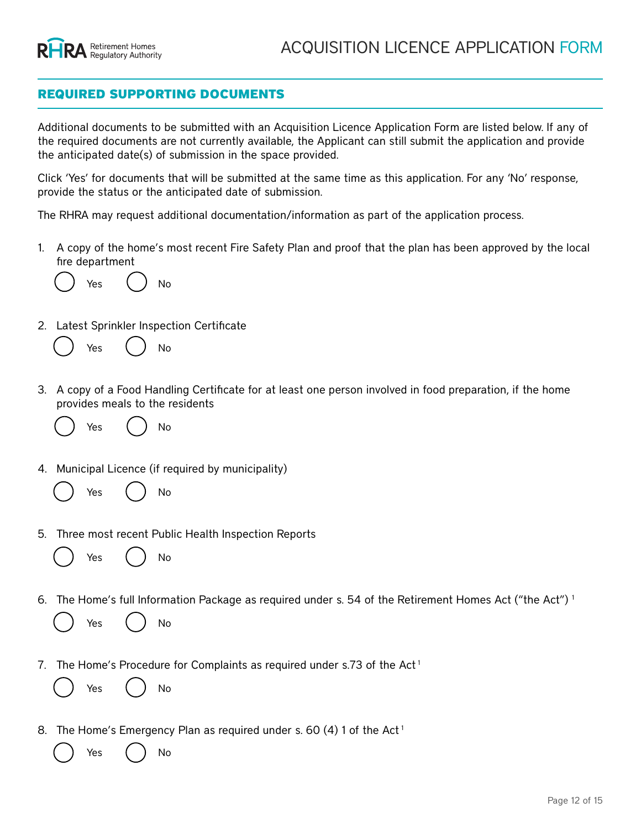

# REQUIRED SUPPORTING DOCUMENTS

Additional documents to be submitted with an Acquisition Licence Application Form are listed below. If any of the required documents are not currently available, the Applicant can still submit the application and provide the anticipated date(s) of submission in the space provided.

Click 'Yes' for documents that will be submitted at the same time as this application. For any 'No' response, provide the status or the anticipated date of submission.

The RHRA may request additional documentation/information as part of the application process.

1. A copy of the home's most recent Fire Safety Plan and proof that the plan has been approved by the local fire department

Yes ( ) No

If proof of approved plan is not available, submit the draft fire safety plan and proof of submission from the local fire dept.

2. Latest Sprinkler Inspection Certificate

Yes ( *)* No Status/Anticipated Date of Submission:

3. A copy of a Food Handling Certificate for at least one person involved in food preparation, if the home provides meals to the residents

Yes ( ) No

Status/Anticipated Date of Submission:

4. Municipal Licence (if required by municipality)

Yes ( ) No

Status/Anticipated Date of Submission:

5. Three most recent Public Health Inspection Reports

Yes ( ) No

Status/Anticipated Date of Submission:

6. The Home's full Information Package as required under s. 54 of the Retirement Homes Act ("the Act") 1

Yes ( ) No Status/Anticipated Date of Submission:

7. The Home's Procedure for Complaints as required under s.73 of the Act<sup>1</sup>

Yes ( ) No Status/Anticipated Date of Submission:

8. The Home's Emergency Plan as required under s. 60 (4) 1 of the Act<sup>1</sup>

Yes ( ) No Status/Anticipated Date of Submission: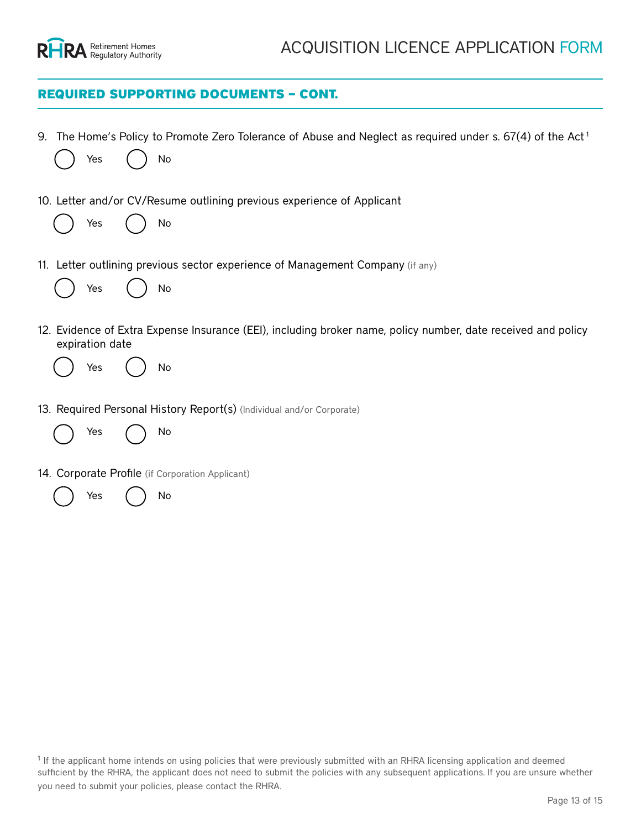

# REQUIRED SUPPORTING DOCUMENTS – CONT.

| 9. | Yes                    | No | The Home's Policy to Promote Zero Tolerance of Abuse and Neglect as required under s. $67(4)$ of the Act <sup>1</sup><br><b>Status/Anticipated Date of Submission:</b>                               |
|----|------------------------|----|------------------------------------------------------------------------------------------------------------------------------------------------------------------------------------------------------|
|    | Yes                    | No | 10. Letter and/or CV/Resume outlining previous experience of Applicant<br><b>Status/Anticipated Date of Submission:</b>                                                                              |
|    | Yes                    | No | 11. Letter outlining previous sector experience of Management Company (if any)<br><b>Status/Anticipated Date of Submission:</b>                                                                      |
|    | expiration date<br>Yes | No | 12. Evidence of Extra Expense Insurance (EEI), including broker name, policy number, date received and policy<br><b>Status/Anticipated Date of Submission:</b>                                       |
|    | Yes                    | No | 13. Required Personal History Report(s) (Individual and/or Corporate)<br><b>Status/Anticipated Date of Submission:</b>                                                                               |
|    |                        |    | 14. Corporate Profile (if Corporation Applicant)                                                                                                                                                     |
|    | Yes                    | No | <b>Status/Anticipated Date of Submission:</b>                                                                                                                                                        |
|    |                        |    | <sup>1</sup> If the applicant home intends on using policies that were previously submitted with an RHRA licensing application and deemed                                                            |
|    |                        |    | sufficient by the RHRA, the applicant does not need to submit the policies with any subsequent applications. If you are unsure whether<br>you need to submit your policies, please contact the RHRA. |
|    |                        |    | Page 13 of 15                                                                                                                                                                                        |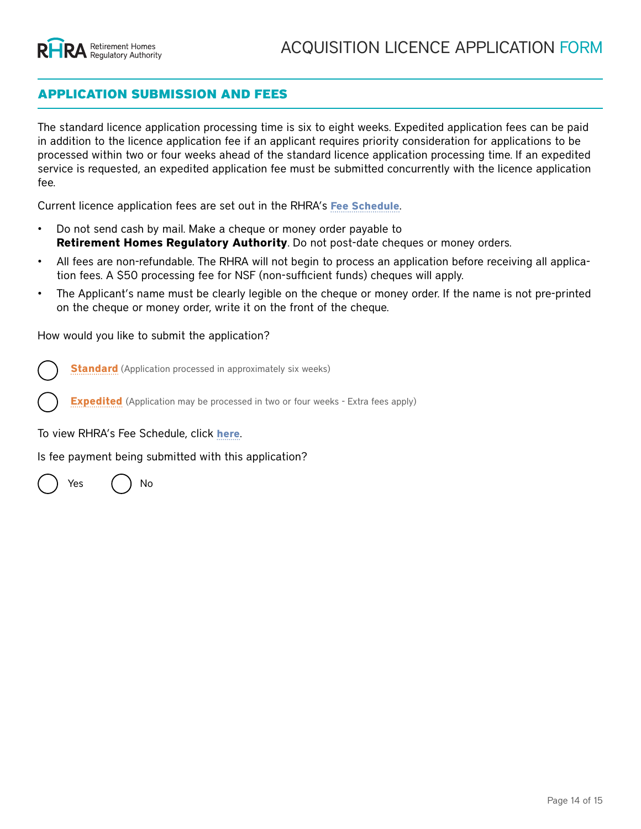# APPLICATION SUBMISSION AND FEES

The standard licence application processing time is six to eight weeks. Expedited application fees can be paid in addition to the licence application fee if an applicant requires priority consideration for applications to be processed within two or four weeks ahead of the standard licence application processing time. If an expedited service is requested, an expedited application fee must be submitted concurrently with the licence application fee.

Current licence application fees are set out in the RHRA's **[Fee Schedule](https://www.rhra.ca/en/information-tools-and-resources/)**.

- Do not send cash by mail. Make a cheque or money order payable to **Retirement Homes Regulatory Authority**. Do not post-date cheques or money orders.
- All fees are non-refundable. The RHRA will not begin to process an application before receiving all application fees. A \$50 processing fee for NSF (non-sufficient funds) cheques will apply.
- The Applicant's name must be clearly legible on the cheque or money order. If the name is not pre-printed on the cheque or money order, write it on the front of the cheque.

How would you like to submit the application?

**Standard** (Application processed in approximately six weeks)

**Expedited** (Application may be processed in two or four weeks - Extra fees apply)

To view RHRA's Fee Schedule, click **[here](https://www.rhra.ca/en/information-tools-and-resources/)**.

Is fee payment being submitted with this application?

Yes ( ) No

If yes, what is the method of payment?

Cheque

Pre-authorized debit

e-transfer

If yes, what is the amount of payment being submitted?